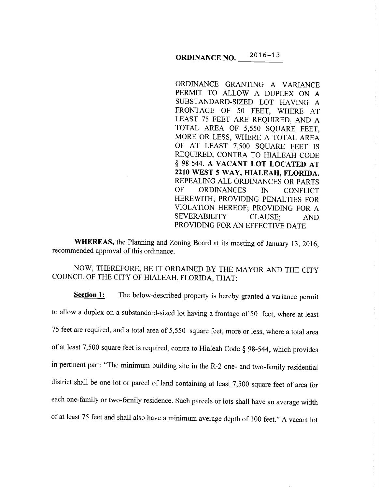#### **ORDINANCE NO.** \_\_ 2\_  $016 - 13$

ORDINANCE GRANTING A VARIANCE PERMIT TO ALLOW A DUPLEX ON A SUBSTANDARD-SIZED LOT HAVING A FRONTAGE OF 50 FEET, WHERE AT LEAST 75 FEET ARE REQUIRED, AND A TOTAL AREA OF 5,550 SQUARE FEET, MORE OR LESS, WHERE A TOTAL AREA OF AT LEAST 7,500 SQUARE FEET IS REQUIRED, CONTRA TO HIALEAH CODE § 98-544. A **VACANT LOT LOCATED AT 2210 WEST 5 WAY, HIALEAH, FLORIDA.**  REPEALING ALL ORDINANCES OR PARTS OF ORDINANCES IN CONFLICT HEREWITH; PROVIDING PENALTIES FOR VIOLATION HEREOF; PROVIDING FOR A SEVERABILITY CLAUSE; AND PROVIDING FOR AN EFFECTIVE DATE.

**WHEREAS,** the Planning and Zoning Board at its meeting of January 13, 2016, recommended approval of this ordinance.

NOW, THEREFORE, BE IT ORDAINED BY THE MAYOR AND THE CITY COUNCIL OF THE CITY OF HIALEAH, FLORIDA, THAT:

**Section 1:** The below-described property is hereby granted a variance permit to allow a duplex on a substandard-sized lot having a frontage of 50 feet, where at least <sup>75</sup>feet are required, and a total area of 5,550 square feet, more or less, where a total area of at least 7,500 square feet is required, contra to Hialeah Code § 98-544, which provides in pertinent part: "The minimum building site in the R-2 one- and two-family residential district shall be one lot or parcel of land containing at least 7,500 square feet of area for each one-family or two-family residence. Such parcels or lots shall have an average width of at least 75 feet and shall also have a minimum average depth of 100 feet." A vacant lot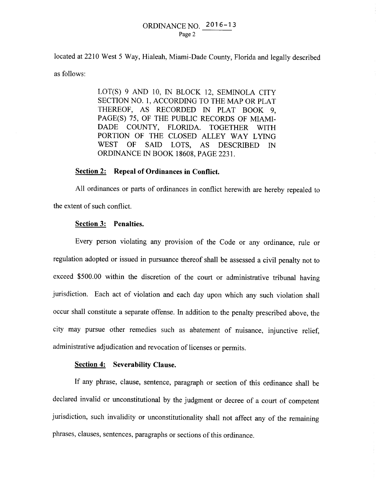## ORDINANCE NO. 2016-13 Page 2

located at 2210 West 5 Way, Hialeah, Miami-Dade County, Florida and legally described as follows:

> LOT(S) 9 AND 10, IN BLOCK 12, SEMINOLA CITY SECTION NO. 1, ACCORDING TO THE MAP OR PLAT THEREOF, AS RECORDED IN PLAT BOOK 9, PAGE(S) 75, OF THE PUBLIC RECORDS OF MIAMI-DADE COUNTY, FLORIDA. TOGETHER WITH PORTION OF THE CLOSED ALLEY WAY LYING WEST OF SAID LOTS, AS DESCRIBED IN ORDINANCE IN BOOK 18608, PAGE 2231.

# **Section 2: Repeal of Ordinances in Conflict.**

All ordinances or parts of ordinances in conflict herewith are hereby repealed to the extent of such conflict.

### **Section 3: Penalties.**

Every person violating any provision of the Code or any ordinance, rule or regulation adopted or issued in pursuance thereof shall be assessed a civil penalty not to exceed \$500.00 within the discretion of the court or administrative tribunal having jurisdiction. Each act of violation and each day upon which any such violation shall occur shall constitute a separate offense. In addition to the penalty prescribed above, the city may pursue other remedies such as abatement of nuisance, injunctive relief, administrative adjudication and revocation of licenses or permits.

## **Section 4: Severability Clause.**

If any phrase, clause, sentence, paragraph or section of this ordinance shall be declared invalid or unconstitutional by the judgment or decree of a court of competent jurisdiction, such invalidity or unconstitutionality shall not affect any of the remaining phrases, clauses, sentences, paragraphs or sections of this ordinance.